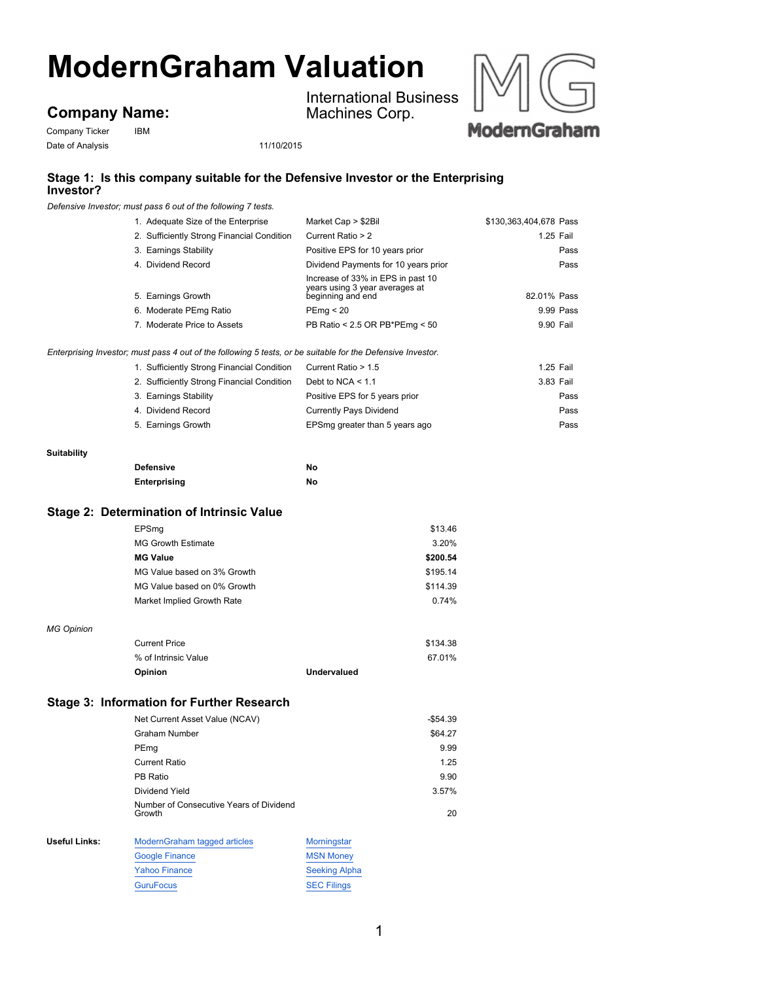# **ModernGraham Valuation**

## **Company Name:**

Company Ticker IBM Date of Analysis 11/10/2015

International Business Machines Corp.



### **Stage 1: Is this company suitable for the Defensive Investor or the Enterprising Investor?**

*Defensive Investor; must pass 6 out of the following 7 tests.*

| 1. Adequate Size of the Enterprise                                                                | Market Cap > \$2Bil                                                                      | \$130,363,404,678 Pass |  |
|---------------------------------------------------------------------------------------------------|------------------------------------------------------------------------------------------|------------------------|--|
| 2. Sufficiently Strong Financial Condition                                                        | Current Ratio > 2                                                                        | 1.25 Fail              |  |
| 3. Earnings Stability                                                                             | Positive EPS for 10 years prior                                                          | Pass                   |  |
| 4. Dividend Record                                                                                | Dividend Payments for 10 years prior                                                     | Pass                   |  |
| 5. Earnings Growth                                                                                | Increase of 33% in EPS in past 10<br>years using 3 year averages at<br>beginning and end | 82.01% Pass            |  |
| 6. Moderate PEmg Ratio                                                                            | PEmq < 20                                                                                | 9.99 Pass              |  |
| 7. Moderate Price to Assets                                                                       | PB Ratio < 2.5 OR PB*PEmg < 50                                                           | 9.90 Fail              |  |
| iq Investor; must pass 4 out of the following 5 tests, or be suitable for the Defensive Investor. |                                                                                          |                        |  |
| 1. Sufficiently Strong Financial Condition                                                        | Current Ratio > 1.5                                                                      | 1.25 Fail              |  |
| 2. Sufficiently Strong Financial Condition                                                        | Debt to NCA $<$ 1.1                                                                      | 3.83 Fail              |  |
| 3. Earnings Stability                                                                             | Positive EPS for 5 years prior                                                           | Pass                   |  |
| 4. Dividend Record                                                                                | <b>Currently Pays Dividend</b>                                                           | Pass                   |  |
| 5. Earnings Growth                                                                                | EPSmg greater than 5 years ago                                                           | Pass                   |  |

#### **Suitability**

*Enterprising Investor; must pass 4 out of the following 5 tests, or be suitable for the Defensive Investor.*

*MG Opinion*

| <b>Defensive</b> | No |
|------------------|----|
| Enterprising     | No |

#### **Stage 2: Determination of Intrinsic Value**

| 3.20%<br><b>MG Growth Estimate</b><br><b>MG Value</b><br>\$200.54<br>MG Value based on 3% Growth<br>\$195.14<br>MG Value based on 0% Growth<br>\$114.39<br>0.74%<br>Market Implied Growth Rate | EPSmq | \$13.46 |
|------------------------------------------------------------------------------------------------------------------------------------------------------------------------------------------------|-------|---------|
|                                                                                                                                                                                                |       |         |
|                                                                                                                                                                                                |       |         |
|                                                                                                                                                                                                |       |         |
|                                                                                                                                                                                                |       |         |
|                                                                                                                                                                                                |       |         |
|                                                                                                                                                                                                |       |         |
| <b>Current Price</b><br>\$134.38                                                                                                                                                               |       |         |
| % of Intrinsic Value<br>67.01%                                                                                                                                                                 |       |         |
| Undervalued<br>Opinion                                                                                                                                                                         |       |         |

### **Stage 3: Information for Further Research**

|               | Net Current Asset Value (NCAV)                    |                  | $-$ \$54.39 |
|---------------|---------------------------------------------------|------------------|-------------|
|               | <b>Graham Number</b>                              |                  | \$64.27     |
|               | PEmg                                              |                  | 9.99        |
|               | Current Ratio                                     |                  | 1.25        |
|               | PB Ratio                                          |                  | 9.90        |
|               | Dividend Yield                                    |                  | 3.57%       |
|               | Number of Consecutive Years of Dividend<br>Growth |                  | 20          |
| Useful Links: | ModernGraham tagged articles                      | Morningstar      |             |
|               | Google Finance                                    | <b>MSN Money</b> |             |

| <b>Google Finance</b> | <b>MSN Money</b>     |
|-----------------------|----------------------|
| <b>Yahoo Finance</b>  | <b>Seeking Alpha</b> |
| <b>GuruFocus</b>      | <b>SEC Filings</b>   |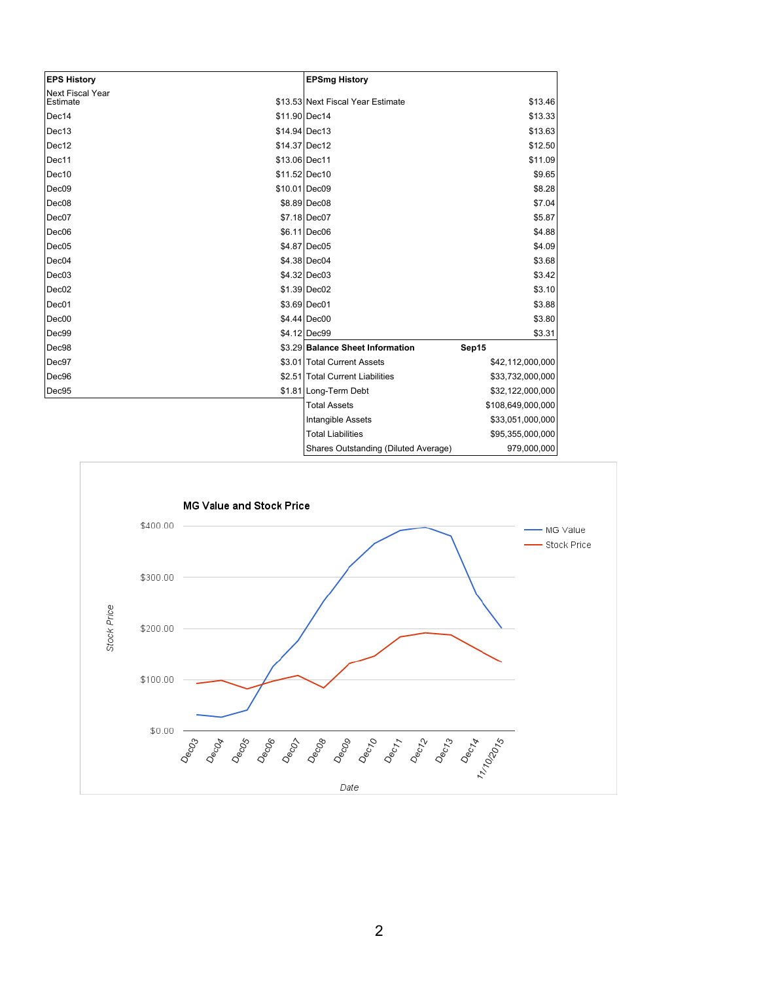| <b>EPS History</b>                  | <b>EPSmg History</b>                                 |
|-------------------------------------|------------------------------------------------------|
| <b>Next Fiscal Year</b><br>Estimate | \$13.53 Next Fiscal Year Estimate<br>\$13.46         |
| Dec14                               | \$11.90 Dec14<br>\$13.33                             |
| Dec13                               | \$14.94 Dec13<br>\$13.63                             |
| Dec12                               | \$14.37 Dec12<br>\$12.50                             |
| Dec11                               | \$13.06 Dec11<br>\$11.09                             |
| Dec10                               | \$11.52 Dec10<br>\$9.65                              |
| Dec <sub>09</sub>                   | \$10.01 Dec09<br>\$8.28                              |
| Dec <sub>08</sub>                   | \$8.89 Dec08<br>\$7.04                               |
| Dec07                               | \$7.18 Dec07<br>\$5.87                               |
| Dec <sub>06</sub>                   | \$6.11 Dec06<br>\$4.88                               |
| Dec05                               | \$4.87 Dec05<br>\$4.09                               |
| Dec04                               | \$4.38 Dec04<br>\$3.68                               |
| Dec <sub>03</sub>                   | \$4.32 Dec03<br>\$3.42                               |
| Dec <sub>02</sub>                   | \$1.39 Dec02<br>\$3.10                               |
| Dec01                               | \$3.69 Dec01<br>\$3.88                               |
| Dec00                               | \$4.44 Dec00<br>\$3.80                               |
| Dec99                               | \$4.12 Dec99<br>\$3.31                               |
| Dec98                               | \$3.29 Balance Sheet Information<br>Sep15            |
| Dec97                               | \$3.01 Total Current Assets<br>\$42,112,000,000      |
| Dec96                               | \$2.51 Total Current Liabilities<br>\$33,732,000,000 |
| Dec95                               | \$1.81 Long-Term Debt<br>\$32,122,000,000            |
|                                     | <b>Total Assets</b><br>\$108,649,000,000             |
|                                     | \$33,051,000,000<br>Intangible Assets                |
|                                     | <b>Total Liabilities</b><br>\$95,355,000,000         |